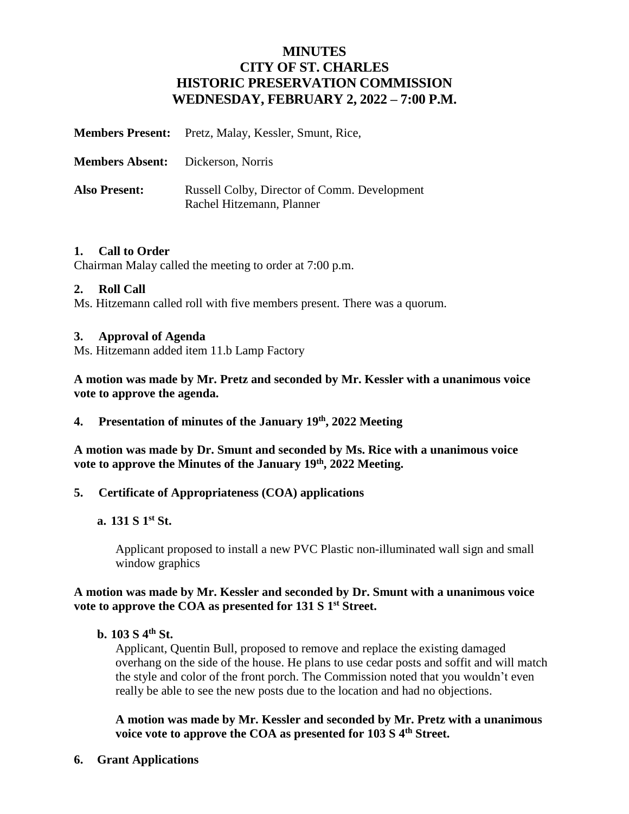## **MINUTES CITY OF ST. CHARLES HISTORIC PRESERVATION COMMISSION WEDNESDAY, FEBRUARY 2, 2022 – 7:00 P.M.**

|                                          | <b>Members Present:</b> Pretz, Malay, Kessler, Smunt, Rice,               |
|------------------------------------------|---------------------------------------------------------------------------|
| <b>Members Absent:</b> Dickerson, Norris |                                                                           |
| <b>Also Present:</b>                     | Russell Colby, Director of Comm. Development<br>Rachel Hitzemann, Planner |

## **1. Call to Order**

Chairman Malay called the meeting to order at 7:00 p.m.

## **2. Roll Call**

Ms. Hitzemann called roll with five members present. There was a quorum.

## **3. Approval of Agenda**

Ms. Hitzemann added item 11.b Lamp Factory

**A motion was made by Mr. Pretz and seconded by Mr. Kessler with a unanimous voice vote to approve the agenda.**

**4. Presentation of minutes of the January 19th , 2022 Meeting**

**A motion was made by Dr. Smunt and seconded by Ms. Rice with a unanimous voice vote to approve the Minutes of the January 19th, 2022 Meeting.** 

## **5. Certificate of Appropriateness (COA) applications**

## **a. 131 S 1 st St.**

Applicant proposed to install a new PVC Plastic non-illuminated wall sign and small window graphics

## **A motion was made by Mr. Kessler and seconded by Dr. Smunt with a unanimous voice**  vote to approve the COA as presented for 131 S 1<sup>st</sup> Street.

## **b. 103 S 4th St.**

Applicant, Quentin Bull, proposed to remove and replace the existing damaged overhang on the side of the house. He plans to use cedar posts and soffit and will match the style and color of the front porch. The Commission noted that you wouldn't even really be able to see the new posts due to the location and had no objections.

**A motion was made by Mr. Kessler and seconded by Mr. Pretz with a unanimous voice vote to approve the COA as presented for 103 S 4th Street.**

**6. Grant Applications**